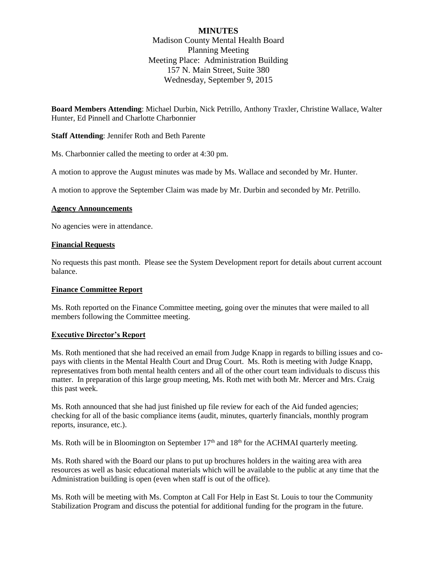# **MINUTES**

Madison County Mental Health Board Planning Meeting Meeting Place: Administration Building 157 N. Main Street, Suite 380 Wednesday, September 9, 2015

**Board Members Attending**: Michael Durbin, Nick Petrillo, Anthony Traxler, Christine Wallace, Walter Hunter, Ed Pinnell and Charlotte Charbonnier

**Staff Attending**: Jennifer Roth and Beth Parente

Ms. Charbonnier called the meeting to order at 4:30 pm.

A motion to approve the August minutes was made by Ms. Wallace and seconded by Mr. Hunter.

A motion to approve the September Claim was made by Mr. Durbin and seconded by Mr. Petrillo.

### **Agency Announcements**

No agencies were in attendance.

### **Financial Requests**

No requests this past month. Please see the System Development report for details about current account balance.

#### **Finance Committee Report**

Ms. Roth reported on the Finance Committee meeting, going over the minutes that were mailed to all members following the Committee meeting.

## **Executive Director's Report**

Ms. Roth mentioned that she had received an email from Judge Knapp in regards to billing issues and copays with clients in the Mental Health Court and Drug Court. Ms. Roth is meeting with Judge Knapp, representatives from both mental health centers and all of the other court team individuals to discuss this matter. In preparation of this large group meeting, Ms. Roth met with both Mr. Mercer and Mrs. Craig this past week.

Ms. Roth announced that she had just finished up file review for each of the Aid funded agencies; checking for all of the basic compliance items (audit, minutes, quarterly financials, monthly program reports, insurance, etc.).

Ms. Roth will be in Bloomington on September  $17<sup>th</sup>$  and  $18<sup>th</sup>$  for the ACHMAI quarterly meeting.

Ms. Roth shared with the Board our plans to put up brochures holders in the waiting area with area resources as well as basic educational materials which will be available to the public at any time that the Administration building is open (even when staff is out of the office).

Ms. Roth will be meeting with Ms. Compton at Call For Help in East St. Louis to tour the Community Stabilization Program and discuss the potential for additional funding for the program in the future.